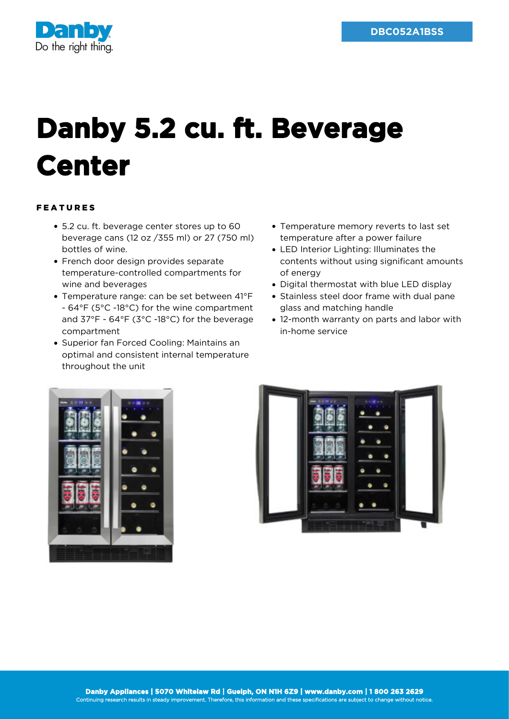

## **Danby 5.2 cu. ft. Beverage Center**

## FEATURES

- 5.2 cu. ft. beverage center stores up to 60 beverage cans (12 oz /355 ml) or 27 (750 ml) bottles of wine.
- French door design provides separate temperature-controlled compartments for wine and beverages
- Temperature range: can be set between 41°F - 64°F (5°C -18°C) for the wine compartment and 37°F - 64°F (3°C -18°C) for the beverage compartment
- Superior fan Forced Cooling: Maintains an optimal and consistent internal temperature throughout the unit
- Temperature memory reverts to last set temperature after a power failure
- LED Interior Lighting: Illuminates the contents without using significant amounts of energy
- Digital thermostat with blue LED display
- Stainless steel door frame with dual pane glass and matching handle
- 12-month warranty on parts and labor with in-home service